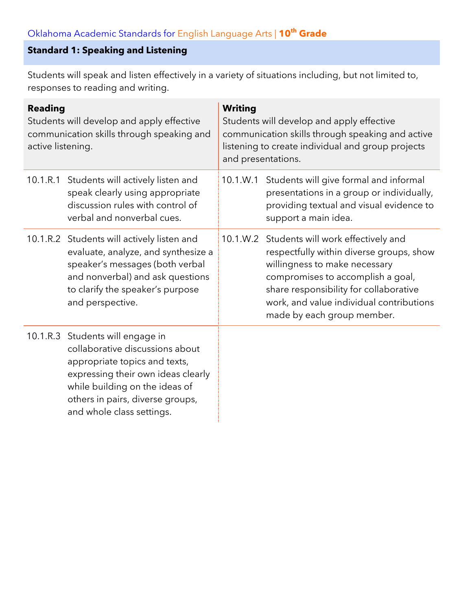# **Standard 1: Speaking and Listening**

Students will speak and listen effectively in a variety of situations including, but not limited to, responses to reading and writing.

| <b>Reading</b><br>Students will develop and apply effective<br>communication skills through speaking and<br>active listening. |                                                                                                                                                                                                                                               | <b>Writing</b><br>Students will develop and apply effective<br>communication skills through speaking and active<br>listening to create individual and group projects<br>and presentations. |                                                                                                                                                                                                                                                                                   |  |
|-------------------------------------------------------------------------------------------------------------------------------|-----------------------------------------------------------------------------------------------------------------------------------------------------------------------------------------------------------------------------------------------|--------------------------------------------------------------------------------------------------------------------------------------------------------------------------------------------|-----------------------------------------------------------------------------------------------------------------------------------------------------------------------------------------------------------------------------------------------------------------------------------|--|
|                                                                                                                               | 10.1.R.1 Students will actively listen and<br>speak clearly using appropriate<br>discussion rules with control of<br>verbal and nonverbal cues.                                                                                               | 10.1.W.1                                                                                                                                                                                   | Students will give formal and informal<br>presentations in a group or individually,<br>providing textual and visual evidence to<br>support a main idea.                                                                                                                           |  |
|                                                                                                                               | 10.1.R.2 Students will actively listen and<br>evaluate, analyze, and synthesize a<br>speaker's messages (both verbal<br>and nonverbal) and ask questions<br>to clarify the speaker's purpose<br>and perspective.                              |                                                                                                                                                                                            | 10.1.W.2 Students will work effectively and<br>respectfully within diverse groups, show<br>willingness to make necessary<br>compromises to accomplish a goal,<br>share responsibility for collaborative<br>work, and value individual contributions<br>made by each group member. |  |
|                                                                                                                               | 10.1.R.3 Students will engage in<br>collaborative discussions about<br>appropriate topics and texts,<br>expressing their own ideas clearly<br>while building on the ideas of<br>others in pairs, diverse groups,<br>and whole class settings. |                                                                                                                                                                                            |                                                                                                                                                                                                                                                                                   |  |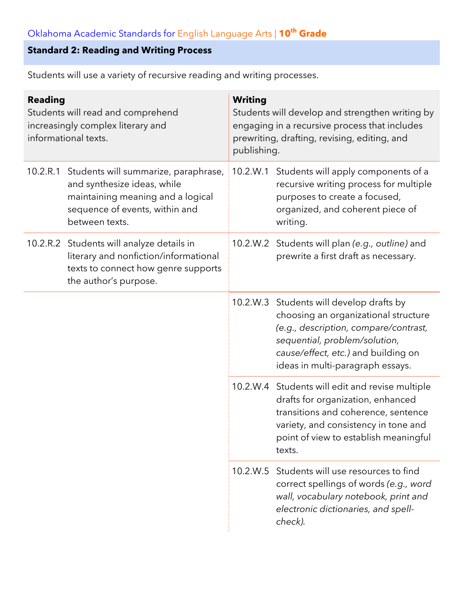#### **Standard 2: Reading and Writing Process**

**Reading** Students will read and comprehend increasingly complex literary and informational texts. **Writing** Students will develop and strengthen writing by engaging in a recursive process that includes prewriting, drafting, revising, editing, and publishing. 10.2.R.1 Students will summarize, paraphrase, and synthesize ideas, while maintaining meaning and a logical sequence of events, within and between texts. 10.2.W.1 Students will apply components of a recursive writing process for multiple purposes to create a focused, organized, and coherent piece of writing. 10.2.R.2 Students will analyze details in literary and nonfiction/informational texts to connect how genre supports the author's purpose. 10.2.W.2 Students will plan *(e.g., outline)* and prewrite a first draft as necessary. 10.2.W.3 Students will develop drafts by choosing an organizational structure *(e.g., description, compare/contrast, sequential, problem/solution, cause/effect, etc.)* and building on ideas in multi-paragraph essays. 10.2.W.4 Students will edit and revise multiple drafts for organization, enhanced transitions and coherence, sentence variety, and consistency in tone and point of view to establish meaningful texts. 10.2.W.5 Students will use resources to find correct spellings of words *(e.g., word wall, vocabulary notebook, print and electronic dictionaries, and spellcheck).*

Students will use a variety of recursive reading and writing processes.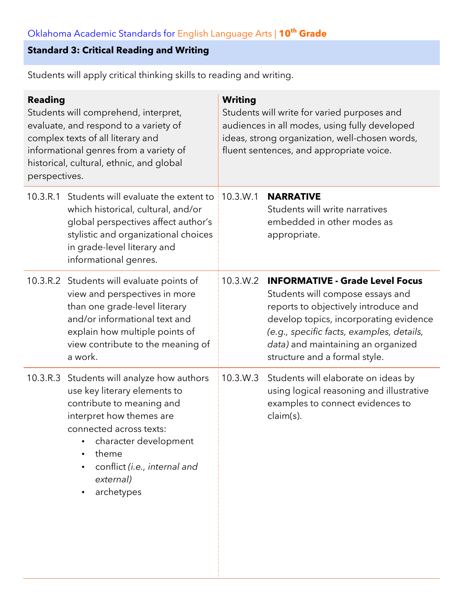### **Standard 3: Critical Reading and Writing**

Students will apply critical thinking skills to reading and writing.

| <b>Reading</b><br>Students will comprehend, interpret,<br>evaluate, and respond to a variety of<br>complex texts of all literary and<br>informational genres from a variety of<br>historical, cultural, ethnic, and global<br>perspectives. |                                                                                                                                                                                                                                                                          | <b>Writing</b><br>Students will write for varied purposes and<br>audiences in all modes, using fully developed<br>ideas, strong organization, well-chosen words,<br>fluent sentences, and appropriate voice. |                                                                                                                                                                                                                                                                                  |  |
|---------------------------------------------------------------------------------------------------------------------------------------------------------------------------------------------------------------------------------------------|--------------------------------------------------------------------------------------------------------------------------------------------------------------------------------------------------------------------------------------------------------------------------|--------------------------------------------------------------------------------------------------------------------------------------------------------------------------------------------------------------|----------------------------------------------------------------------------------------------------------------------------------------------------------------------------------------------------------------------------------------------------------------------------------|--|
|                                                                                                                                                                                                                                             | 10.3.R.1 Students will evaluate the extent to 10.3.W.1<br>which historical, cultural, and/or<br>global perspectives affect author's<br>stylistic and organizational choices<br>in grade-level literary and<br>informational genres.                                      |                                                                                                                                                                                                              | <b>NARRATIVE</b><br>Students will write narratives<br>embedded in other modes as<br>appropriate.                                                                                                                                                                                 |  |
|                                                                                                                                                                                                                                             | 10.3.R.2 Students will evaluate points of<br>view and perspectives in more<br>than one grade-level literary<br>and/or informational text and<br>explain how multiple points of<br>view contribute to the meaning of<br>a work.                                           | 10.3.W.2                                                                                                                                                                                                     | <b>INFORMATIVE - Grade Level Focus</b><br>Students will compose essays and<br>reports to objectively introduce and<br>develop topics, incorporating evidence<br>(e.g., specific facts, examples, details,<br>data) and maintaining an organized<br>structure and a formal style. |  |
|                                                                                                                                                                                                                                             | 10.3.R.3 Students will analyze how authors<br>use key literary elements to<br>contribute to meaning and<br>interpret how themes are<br>connected across texts:<br>character development<br>theme<br>conflict (i.e., internal and<br>external)<br>archetypes<br>$\bullet$ | 10.3.W.3                                                                                                                                                                                                     | Students will elaborate on ideas by<br>using logical reasoning and illustrative<br>examples to connect evidences to<br>claim(s).                                                                                                                                                 |  |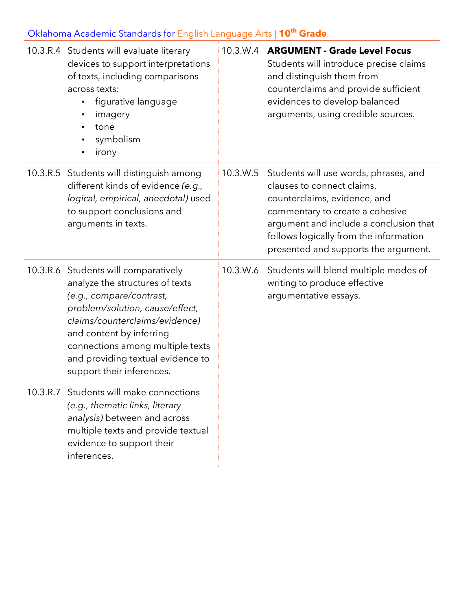| 10.3.R.4 Students will evaluate literary<br>devices to support interpretations<br>of texts, including comparisons<br>across texts:<br>figurative language<br>$\bullet$<br>imagery<br>$\bullet$<br>tone<br>$\bullet$<br>symbolism<br>$\bullet$<br>irony<br>$\bullet$                                        |          | 10.3.W.4 ARGUMENT - Grade Level Focus<br>Students will introduce precise claims<br>and distinguish them from<br>counterclaims and provide sufficient<br>evidences to develop balanced<br>arguments, using credible sources.                                                 |
|------------------------------------------------------------------------------------------------------------------------------------------------------------------------------------------------------------------------------------------------------------------------------------------------------------|----------|-----------------------------------------------------------------------------------------------------------------------------------------------------------------------------------------------------------------------------------------------------------------------------|
| 10.3.R.5 Students will distinguish among<br>different kinds of evidence (e.g.,<br>logical, empirical, anecdotal) used<br>to support conclusions and<br>arguments in texts.                                                                                                                                 |          | 10.3.W.5 Students will use words, phrases, and<br>clauses to connect claims,<br>counterclaims, evidence, and<br>commentary to create a cohesive<br>argument and include a conclusion that<br>follows logically from the information<br>presented and supports the argument. |
| 10.3.R.6 Students will comparatively<br>analyze the structures of texts<br>(e.g., compare/contrast,<br>problem/solution, cause/effect,<br>claims/counterclaims/evidence)<br>and content by inferring<br>connections among multiple texts<br>and providing textual evidence to<br>support their inferences. | 10.3.W.6 | Students will blend multiple modes of<br>writing to produce effective<br>argumentative essays.                                                                                                                                                                              |
| 10.3.R.7 Students will make connections<br>(e.g., thematic links, literary<br>analysis) between and across<br>multiple texts and provide textual<br>evidence to support their<br>inferences.                                                                                                               |          |                                                                                                                                                                                                                                                                             |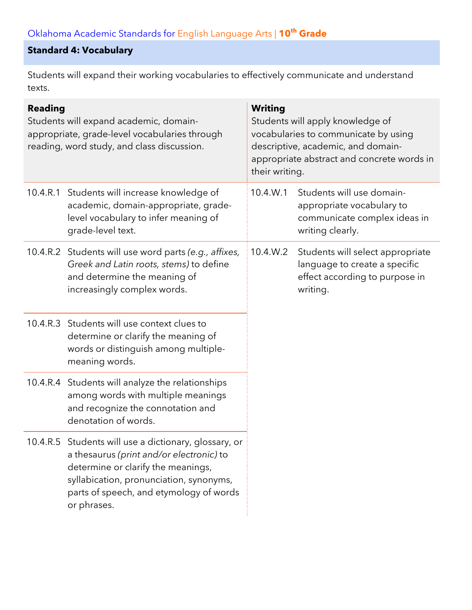### **Standard 4: Vocabulary**

Students will expand their working vocabularies to effectively communicate and understand texts.

| <b>Reading</b><br>Students will expand academic, domain-<br>appropriate, grade-level vocabularies through<br>reading, word study, and class discussion. |                                                                                                                                                                                                                                              | <b>Writing</b><br>Students will apply knowledge of<br>vocabularies to communicate by using<br>descriptive, academic, and domain-<br>appropriate abstract and concrete words in<br>their writing. |                                                                                                                 |
|---------------------------------------------------------------------------------------------------------------------------------------------------------|----------------------------------------------------------------------------------------------------------------------------------------------------------------------------------------------------------------------------------------------|--------------------------------------------------------------------------------------------------------------------------------------------------------------------------------------------------|-----------------------------------------------------------------------------------------------------------------|
|                                                                                                                                                         | 10.4.R.1 Students will increase knowledge of<br>academic, domain-appropriate, grade-<br>level vocabulary to infer meaning of<br>grade-level text.                                                                                            | 10.4.W.1                                                                                                                                                                                         | Students will use domain-<br>appropriate vocabulary to<br>communicate complex ideas in<br>writing clearly.      |
|                                                                                                                                                         | 10.4.R.2 Students will use word parts (e.g., affixes,<br>Greek and Latin roots, stems) to define<br>and determine the meaning of<br>increasingly complex words.                                                                              | 10.4.W.2                                                                                                                                                                                         | Students will select appropriate<br>language to create a specific<br>effect according to purpose in<br>writing. |
|                                                                                                                                                         | 10.4.R.3 Students will use context clues to<br>determine or clarify the meaning of<br>words or distinguish among multiple-<br>meaning words.                                                                                                 |                                                                                                                                                                                                  |                                                                                                                 |
|                                                                                                                                                         | 10.4.R.4 Students will analyze the relationships<br>among words with multiple meanings<br>and recognize the connotation and<br>denotation of words.                                                                                          |                                                                                                                                                                                                  |                                                                                                                 |
|                                                                                                                                                         | 10.4.R.5 Students will use a dictionary, glossary, or<br>a thesaurus (print and/or electronic) to<br>determine or clarify the meanings,<br>syllabication, pronunciation, synonyms,<br>parts of speech, and etymology of words<br>or phrases. |                                                                                                                                                                                                  |                                                                                                                 |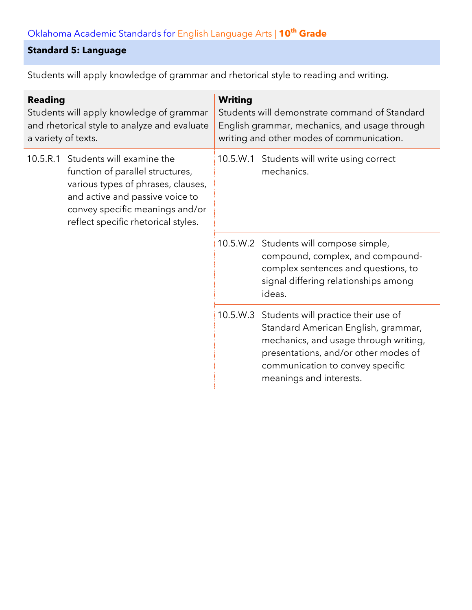### **Standard 5: Language**

Students will apply knowledge of grammar and rhetorical style to reading and writing.

| <b>Reading</b><br>Students will apply knowledge of grammar<br>and rhetorical style to analyze and evaluate<br>a variety of texts. |                                                                                                                                                                                                                  | <b>Writing</b><br>Students will demonstrate command of Standard<br>English grammar, mechanics, and usage through<br>writing and other modes of communication.       |                                                                                                                                                                                                                                     |  |
|-----------------------------------------------------------------------------------------------------------------------------------|------------------------------------------------------------------------------------------------------------------------------------------------------------------------------------------------------------------|---------------------------------------------------------------------------------------------------------------------------------------------------------------------|-------------------------------------------------------------------------------------------------------------------------------------------------------------------------------------------------------------------------------------|--|
| 10.5.R.1                                                                                                                          | Students will examine the<br>function of parallel structures,<br>various types of phrases, clauses,<br>and active and passive voice to<br>convey specific meanings and/or<br>reflect specific rhetorical styles. |                                                                                                                                                                     | 10.5.W.1 Students will write using correct<br>mechanics.                                                                                                                                                                            |  |
|                                                                                                                                   |                                                                                                                                                                                                                  | 10.5.W.2 Students will compose simple,<br>compound, complex, and compound-<br>complex sentences and questions, to<br>signal differing relationships among<br>ideas. |                                                                                                                                                                                                                                     |  |
|                                                                                                                                   |                                                                                                                                                                                                                  |                                                                                                                                                                     | 10.5.W.3 Students will practice their use of<br>Standard American English, grammar,<br>mechanics, and usage through writing,<br>presentations, and/or other modes of<br>communication to convey specific<br>meanings and interests. |  |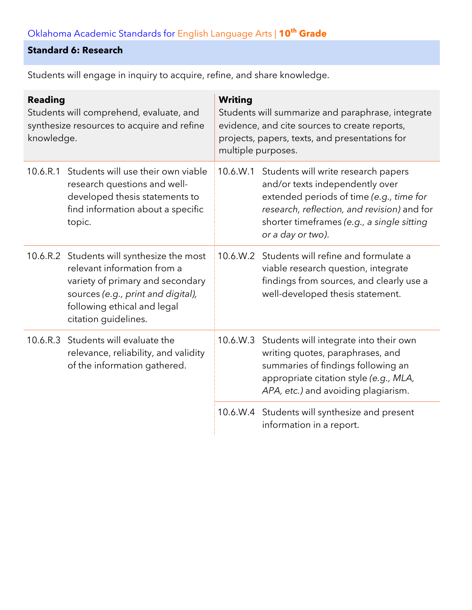### **Standard 6: Research**

| <b>Reading</b><br>Students will comprehend, evaluate, and<br>synthesize resources to acquire and refine<br>knowledge. |                                                                                                                                                                                                            | <b>Writing</b><br>Students will summarize and paraphrase, integrate<br>evidence, and cite sources to create reports,<br>projects, papers, texts, and presentations for<br>multiple purposes. |                                                                                                                                                                                                                                      |  |
|-----------------------------------------------------------------------------------------------------------------------|------------------------------------------------------------------------------------------------------------------------------------------------------------------------------------------------------------|----------------------------------------------------------------------------------------------------------------------------------------------------------------------------------------------|--------------------------------------------------------------------------------------------------------------------------------------------------------------------------------------------------------------------------------------|--|
| 10.6.R.1                                                                                                              | Students will use their own viable<br>research questions and well-<br>developed thesis statements to<br>find information about a specific<br>topic.                                                        | 10.6.W.1                                                                                                                                                                                     | Students will write research papers<br>and/or texts independently over<br>extended periods of time (e.g., time for<br>research, reflection, and revision) and for<br>shorter timeframes (e.g., a single sitting<br>or a day or two). |  |
|                                                                                                                       | 10.6.R.2 Students will synthesize the most<br>relevant information from a<br>variety of primary and secondary<br>sources (e.g., print and digital),<br>following ethical and legal<br>citation guidelines. |                                                                                                                                                                                              | 10.6.W.2 Students will refine and formulate a<br>viable research question, integrate<br>findings from sources, and clearly use a<br>well-developed thesis statement.                                                                 |  |
|                                                                                                                       | 10.6.R.3 Students will evaluate the<br>relevance, reliability, and validity<br>of the information gathered.                                                                                                |                                                                                                                                                                                              | 10.6.W.3 Students will integrate into their own<br>writing quotes, paraphrases, and<br>summaries of findings following an<br>appropriate citation style (e.g., MLA,<br>APA, etc.) and avoiding plagiarism.                           |  |
|                                                                                                                       |                                                                                                                                                                                                            |                                                                                                                                                                                              | 10.6.W.4 Students will synthesize and present<br>information in a report.                                                                                                                                                            |  |

Students will engage in inquiry to acquire, refine, and share knowledge.